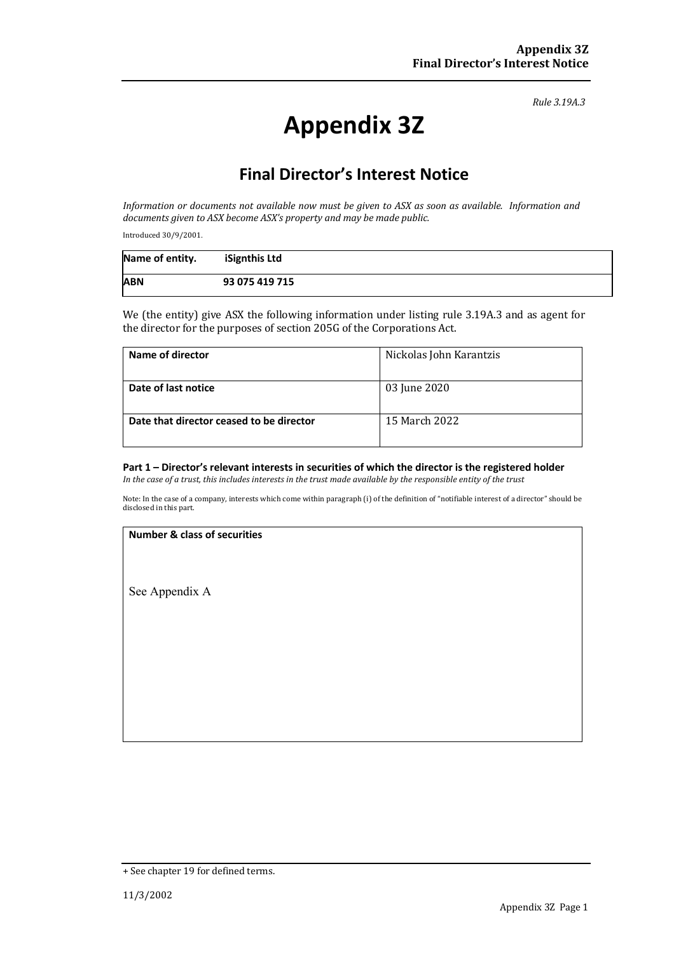*Rule 3.19A.3*

# **Appendix 3Z**

# **Final Director's Interest Notice**

*Information or documents not available now must be given to ASX as soon as available. Information and* documents given to ASX become ASX's property and may be made public.

Introduced 30/9/2001.

| Name of entity. | iSignthis Ltd  |
|-----------------|----------------|
| <b>ABN</b>      | 93 075 419 715 |

We (the entity) give ASX the following information under listing rule 3.19A.3 and as agent for the director for the purposes of section 205G of the Corporations Act.

| Name of director                         | Nickolas John Karantzis |  |
|------------------------------------------|-------------------------|--|
| Date of last notice                      | 03 June 2020            |  |
| Date that director ceased to be director | 15 March 2022           |  |

## **Part 1 – Director's relevant interests in securities of which the director is the registered holder**

*In* the case of a trust, this includes interests in the trust made available by the responsible entity of the trust

Note: In the case of a company, interests which come within paragraph (i) of the definition of "notifiable interest of a director" should be disclosed in this part.

#### **Number & class of securities**

See Appendix A

<sup>+</sup> See chapter 19 for defined terms.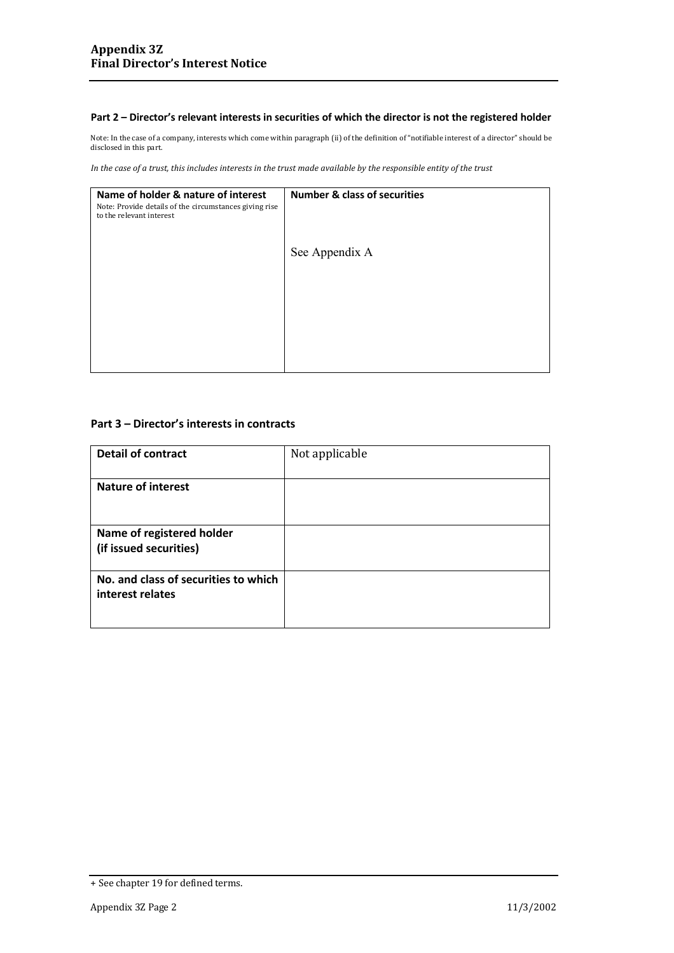#### **Part 2 – Director's relevant interests in securities of which the director is not the registered holder**

Note: In the case of a company, interests which come within paragraph (ii) of the definition of "notifiable interest of a director" should be disclosed in this part.

*In* the case of a trust, this includes interests in the trust made available by the responsible entity of the trust

| Name of holder & nature of interest<br>Note: Provide details of the circumstances giving rise<br>to the relevant interest | <b>Number &amp; class of securities</b> |
|---------------------------------------------------------------------------------------------------------------------------|-----------------------------------------|
|                                                                                                                           | See Appendix A                          |
|                                                                                                                           |                                         |

## **Part 3 – Director's interests in contracts**

| <b>Detail of contract</b>            | Not applicable |
|--------------------------------------|----------------|
|                                      |                |
| <b>Nature of interest</b>            |                |
|                                      |                |
|                                      |                |
| Name of registered holder            |                |
| (if issued securities)               |                |
|                                      |                |
| No. and class of securities to which |                |
| interest relates                     |                |
|                                      |                |
|                                      |                |

<sup>+</sup> See chapter 19 for defined terms.